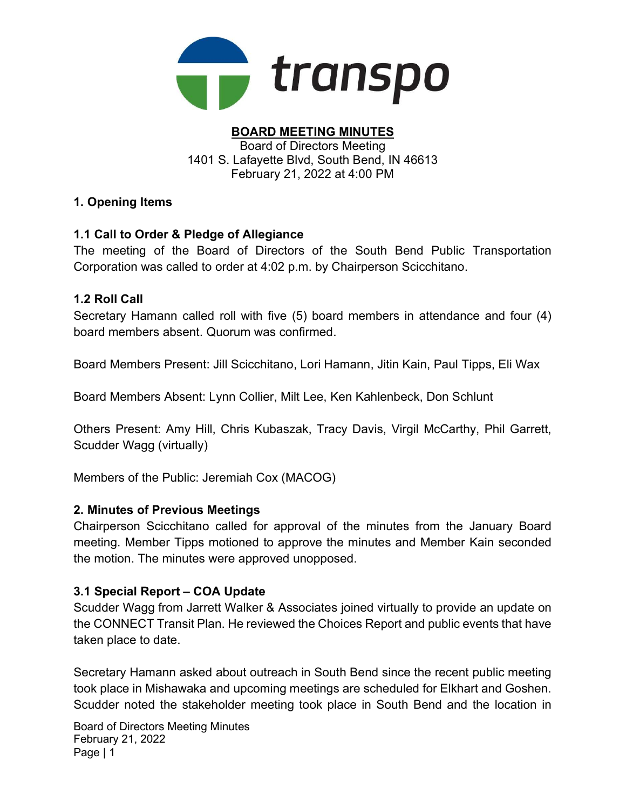

#### BOARD MEETING MINUTES Board of Directors Meeting 1401 S. Lafayette Blvd, South Bend, IN 46613 February 21, 2022 at 4:00 PM

# 1. Opening Items

# 1.1 Call to Order & Pledge of Allegiance

The meeting of the Board of Directors of the South Bend Public Transportation Corporation was called to order at 4:02 p.m. by Chairperson Scicchitano.

### 1.2 Roll Call

Secretary Hamann called roll with five (5) board members in attendance and four (4) board members absent. Quorum was confirmed.

Board Members Present: Jill Scicchitano, Lori Hamann, Jitin Kain, Paul Tipps, Eli Wax

Board Members Absent: Lynn Collier, Milt Lee, Ken Kahlenbeck, Don Schlunt

Others Present: Amy Hill, Chris Kubaszak, Tracy Davis, Virgil McCarthy, Phil Garrett, Scudder Wagg (virtually)

Members of the Public: Jeremiah Cox (MACOG)

### 2. Minutes of Previous Meetings

Chairperson Scicchitano called for approval of the minutes from the January Board meeting. Member Tipps motioned to approve the minutes and Member Kain seconded the motion. The minutes were approved unopposed.

### 3.1 Special Report – COA Update

Scudder Wagg from Jarrett Walker & Associates joined virtually to provide an update on the CONNECT Transit Plan. He reviewed the Choices Report and public events that have taken place to date.

Secretary Hamann asked about outreach in South Bend since the recent public meeting took place in Mishawaka and upcoming meetings are scheduled for Elkhart and Goshen. Scudder noted the stakeholder meeting took place in South Bend and the location in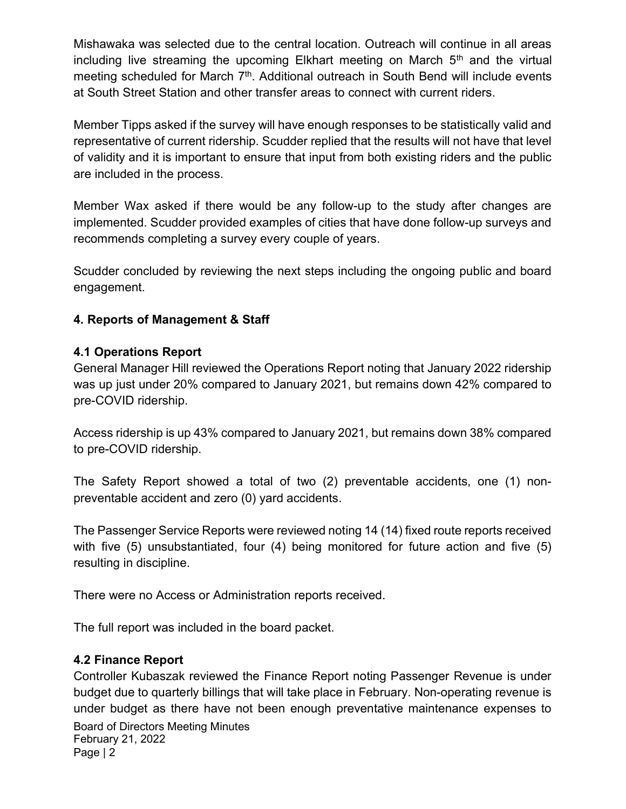Mishawaka was selected due to the central location. Outreach will continue in all areas including live streaming the upcoming Elkhart meeting on March  $5<sup>th</sup>$  and the virtual meeting scheduled for March 7<sup>th</sup>. Additional outreach in South Bend will include events at South Street Station and other transfer areas to connect with current riders.

Member Tipps asked if the survey will have enough responses to be statistically valid and representative of current ridership. Scudder replied that the results will not have that level of validity and it is important to ensure that input from both existing riders and the public are included in the process.

Member Wax asked if there would be any follow-up to the study after changes are implemented. Scudder provided examples of cities that have done follow-up surveys and recommends completing a survey every couple of years.

Scudder concluded by reviewing the next steps including the ongoing public and board engagement.

# 4. Reports of Management & Staff

### 4.1 Operations Report

General Manager Hill reviewed the Operations Report noting that January 2022 ridership was up just under 20% compared to January 2021, but remains down 42% compared to pre-COVID ridership.

Access ridership is up 43% compared to January 2021, but remains down 38% compared to pre-COVID ridership.

The Safety Report showed a total of two (2) preventable accidents, one (1) nonpreventable accident and zero (0) yard accidents.

The Passenger Service Reports were reviewed noting 14 (14) fixed route reports received with five (5) unsubstantiated, four (4) being monitored for future action and five (5) resulting in discipline.

There were no Access or Administration reports received.

The full report was included in the board packet.

# 4.2 Finance Report

Board of Directors Meeting Minutes February 21, 2022 Page | 2 Controller Kubaszak reviewed the Finance Report noting Passenger Revenue is under budget due to quarterly billings that will take place in February. Non-operating revenue is under budget as there have not been enough preventative maintenance expenses to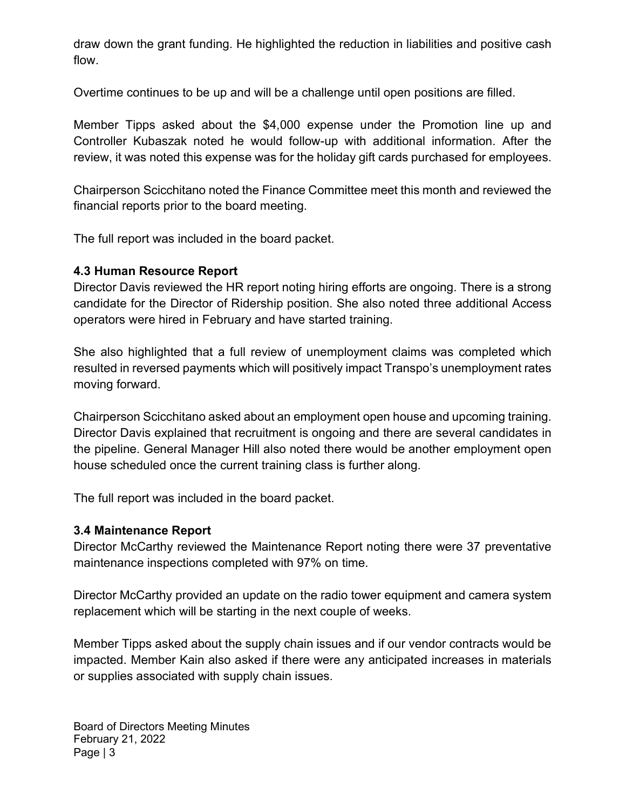draw down the grant funding. He highlighted the reduction in liabilities and positive cash flow.

Overtime continues to be up and will be a challenge until open positions are filled.

Member Tipps asked about the \$4,000 expense under the Promotion line up and Controller Kubaszak noted he would follow-up with additional information. After the review, it was noted this expense was for the holiday gift cards purchased for employees.

Chairperson Scicchitano noted the Finance Committee meet this month and reviewed the financial reports prior to the board meeting.

The full report was included in the board packet.

# 4.3 Human Resource Report

Director Davis reviewed the HR report noting hiring efforts are ongoing. There is a strong candidate for the Director of Ridership position. She also noted three additional Access operators were hired in February and have started training.

She also highlighted that a full review of unemployment claims was completed which resulted in reversed payments which will positively impact Transpo's unemployment rates moving forward.

Chairperson Scicchitano asked about an employment open house and upcoming training. Director Davis explained that recruitment is ongoing and there are several candidates in the pipeline. General Manager Hill also noted there would be another employment open house scheduled once the current training class is further along.

The full report was included in the board packet.

### 3.4 Maintenance Report

Director McCarthy reviewed the Maintenance Report noting there were 37 preventative maintenance inspections completed with 97% on time.

Director McCarthy provided an update on the radio tower equipment and camera system replacement which will be starting in the next couple of weeks.

Member Tipps asked about the supply chain issues and if our vendor contracts would be impacted. Member Kain also asked if there were any anticipated increases in materials or supplies associated with supply chain issues.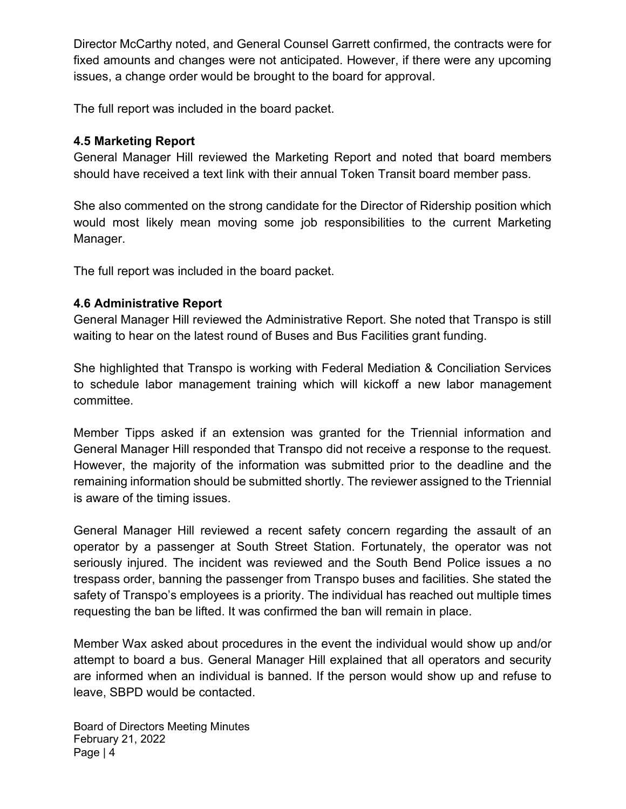Director McCarthy noted, and General Counsel Garrett confirmed, the contracts were for fixed amounts and changes were not anticipated. However, if there were any upcoming issues, a change order would be brought to the board for approval.

The full report was included in the board packet.

#### 4.5 Marketing Report

General Manager Hill reviewed the Marketing Report and noted that board members should have received a text link with their annual Token Transit board member pass.

She also commented on the strong candidate for the Director of Ridership position which would most likely mean moving some job responsibilities to the current Marketing Manager.

The full report was included in the board packet.

#### 4.6 Administrative Report

General Manager Hill reviewed the Administrative Report. She noted that Transpo is still waiting to hear on the latest round of Buses and Bus Facilities grant funding.

She highlighted that Transpo is working with Federal Mediation & Conciliation Services to schedule labor management training which will kickoff a new labor management committee.

Member Tipps asked if an extension was granted for the Triennial information and General Manager Hill responded that Transpo did not receive a response to the request. However, the majority of the information was submitted prior to the deadline and the remaining information should be submitted shortly. The reviewer assigned to the Triennial is aware of the timing issues.

General Manager Hill reviewed a recent safety concern regarding the assault of an operator by a passenger at South Street Station. Fortunately, the operator was not seriously injured. The incident was reviewed and the South Bend Police issues a no trespass order, banning the passenger from Transpo buses and facilities. She stated the safety of Transpo's employees is a priority. The individual has reached out multiple times requesting the ban be lifted. It was confirmed the ban will remain in place.

Member Wax asked about procedures in the event the individual would show up and/or attempt to board a bus. General Manager Hill explained that all operators and security are informed when an individual is banned. If the person would show up and refuse to leave, SBPD would be contacted.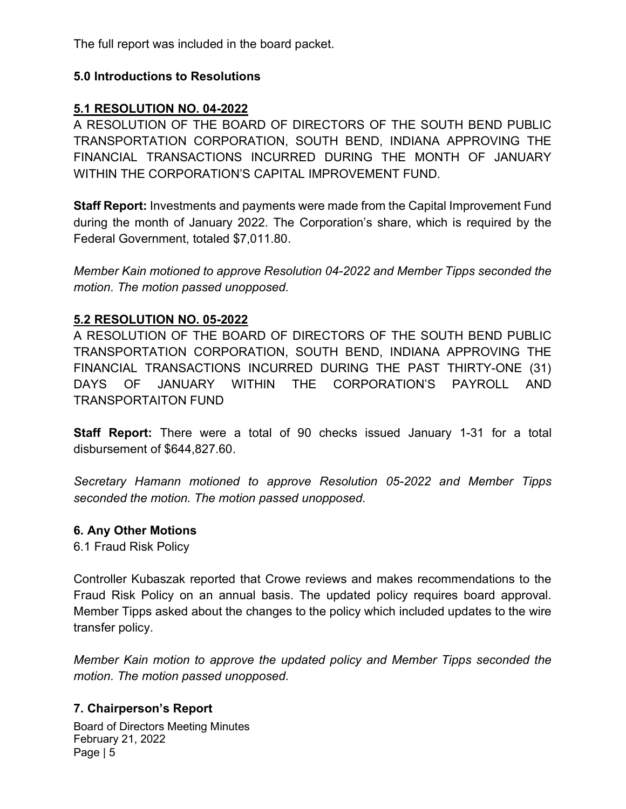The full report was included in the board packet.

### 5.0 Introductions to Resolutions

# 5.1 RESOLUTION NO. 04-2022

A RESOLUTION OF THE BOARD OF DIRECTORS OF THE SOUTH BEND PUBLIC TRANSPORTATION CORPORATION, SOUTH BEND, INDIANA APPROVING THE FINANCIAL TRANSACTIONS INCURRED DURING THE MONTH OF JANUARY WITHIN THE CORPORATION'S CAPITAL IMPROVEMENT FUND.

Staff Report: Investments and payments were made from the Capital Improvement Fund during the month of January 2022. The Corporation's share, which is required by the Federal Government, totaled \$7,011.80.

Member Kain motioned to approve Resolution 04-2022 and Member Tipps seconded the motion. The motion passed unopposed.

### 5.2 RESOLUTION NO. 05-2022

A RESOLUTION OF THE BOARD OF DIRECTORS OF THE SOUTH BEND PUBLIC TRANSPORTATION CORPORATION, SOUTH BEND, INDIANA APPROVING THE FINANCIAL TRANSACTIONS INCURRED DURING THE PAST THIRTY-ONE (31) DAYS OF JANUARY WITHIN THE CORPORATION'S PAYROLL AND TRANSPORTAITON FUND

Staff Report: There were a total of 90 checks issued January 1-31 for a total disbursement of \$644,827.60.

Secretary Hamann motioned to approve Resolution 05-2022 and Member Tipps seconded the motion. The motion passed unopposed.

#### 6. Any Other Motions

6.1 Fraud Risk Policy

Controller Kubaszak reported that Crowe reviews and makes recommendations to the Fraud Risk Policy on an annual basis. The updated policy requires board approval. Member Tipps asked about the changes to the policy which included updates to the wire transfer policy.

Member Kain motion to approve the updated policy and Member Tipps seconded the motion. The motion passed unopposed.

### 7. Chairperson's Report